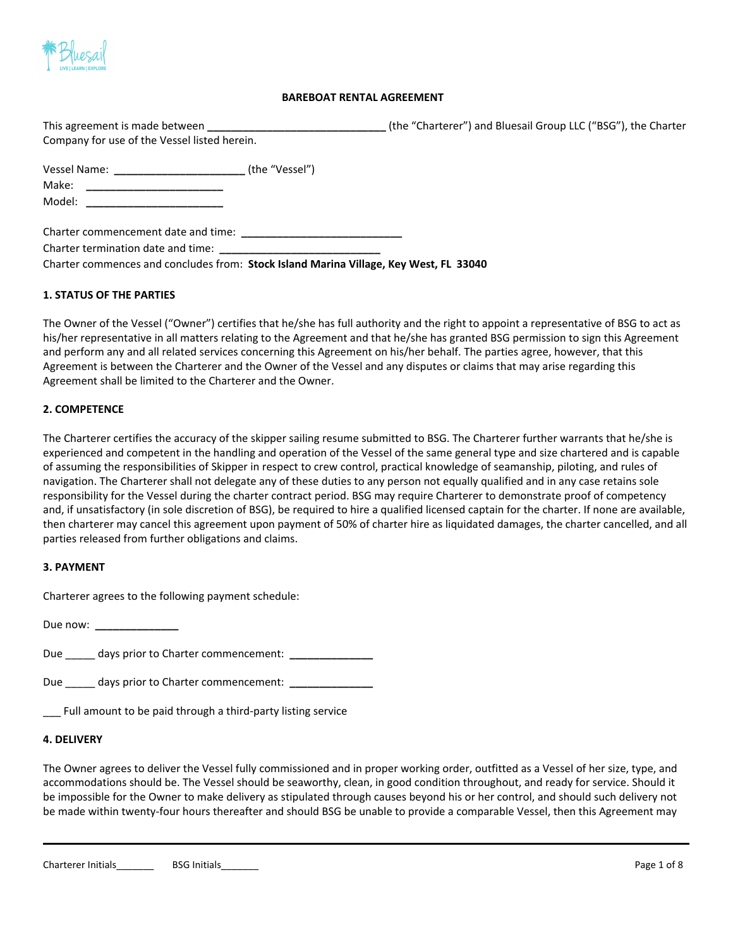

## **BAREBOAT RENTAL AGREEMENT**

| This agreement is made between               | (the "Charterer") and Bluesail Group LLC ("BSG"), the Charter |
|----------------------------------------------|---------------------------------------------------------------|
| Company for use of the Vessel listed herein. |                                                               |

| <b>Vessel Name:</b> | (the "Vessel") |
|---------------------|----------------|
| Make:               |                |
| Model:              |                |

Charter commencement date and time: **\_\_\_\_\_\_\_\_\_\_\_\_\_\_\_\_\_\_\_\_\_\_\_\_\_\_\_**

Charter termination date and time:

Charter commences and concludes from: **Stock Island Marina Village, Key West, FL 33040**

## **1. STATUS OF THE PARTIES**

The Owner of the Vessel ("Owner") certifies that he/she has full authority and the right to appoint a representative of BSG to act as his/her representative in all matters relating to the Agreement and that he/she has granted BSG permission to sign this Agreement and perform any and all related services concerning this Agreement on his/her behalf. The parties agree, however, that this Agreement is between the Charterer and the Owner of the Vessel and any disputes or claims that may arise regarding this Agreement shall be limited to the Charterer and the Owner.

### **2. COMPETENCE**

The Charterer certifies the accuracy of the skipper sailing resume submitted to BSG. The Charterer further warrants that he/she is experienced and competent in the handling and operation of the Vessel of the same general type and size chartered and is capable of assuming the responsibilities of Skipper in respect to crew control, practical knowledge of seamanship, piloting, and rules of navigation. The Charterer shall not delegate any of these duties to any person not equally qualified and in any case retains sole responsibility for the Vessel during the charter contract period. BSG may require Charterer to demonstrate proof of competency and, if unsatisfactory (in sole discretion of BSG), be required to hire a qualified licensed captain for the charter. If none are available, then charterer may cancel this agreement upon payment of 50% of charter hire as liquidated damages, the charter cancelled, and all parties released from further obligations and claims.

### **3. PAYMENT**

Charterer agrees to the following payment schedule:

Due now: **\_\_\_\_\_\_\_\_\_\_\_\_\_\_**

Due \_\_\_\_ days prior to Charter commencement: \_\_\_\_\_\_\_\_\_\_\_\_\_\_\_

Due \_\_\_\_\_ days prior to Charter commencement: **\_\_\_\_\_\_\_\_\_\_\_\_\_\_**

\_\_\_ Full amount to be paid through a third-party listing service

### **4. DELIVERY**

The Owner agrees to deliver the Vessel fully commissioned and in proper working order, outfitted as a Vessel of her size, type, and accommodations should be. The Vessel should be seaworthy, clean, in good condition throughout, and ready for service. Should it be impossible for the Owner to make delivery as stipulated through causes beyond his or her control, and should such delivery not be made within twenty-four hours thereafter and should BSG be unable to provide a comparable Vessel, then this Agreement may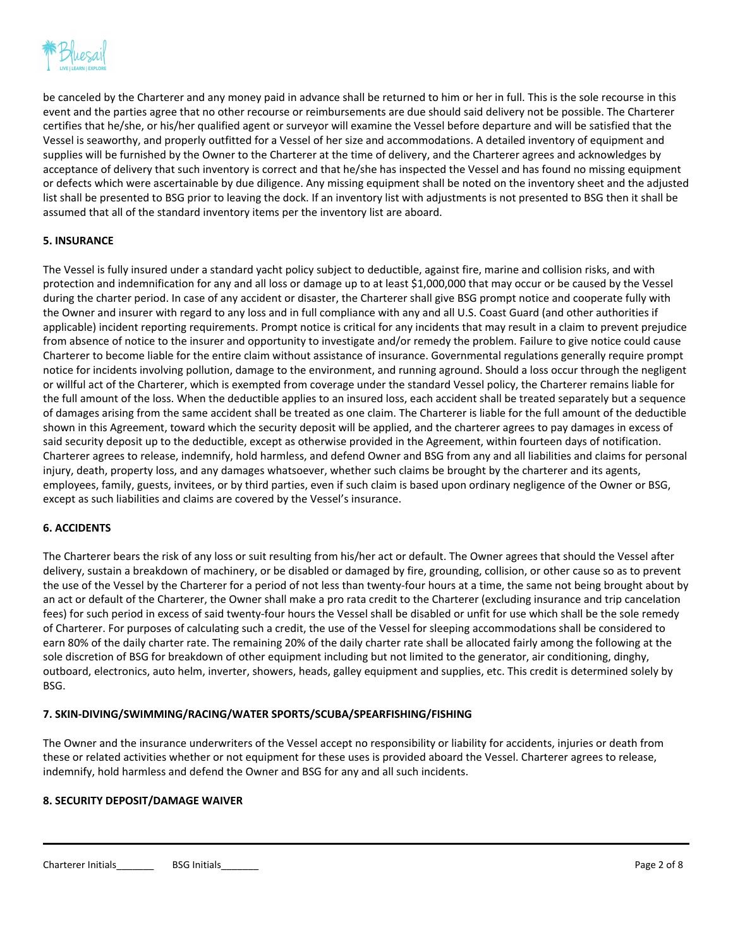

be canceled by the Charterer and any money paid in advance shall be returned to him or her in full. This is the sole recourse in this event and the parties agree that no other recourse or reimbursements are due should said delivery not be possible. The Charterer certifies that he/she, or his/her qualified agent or surveyor will examine the Vessel before departure and will be satisfied that the Vessel is seaworthy, and properly outfitted for a Vessel of her size and accommodations. A detailed inventory of equipment and supplies will be furnished by the Owner to the Charterer at the time of delivery, and the Charterer agrees and acknowledges by acceptance of delivery that such inventory is correct and that he/she has inspected the Vessel and has found no missing equipment or defects which were ascertainable by due diligence. Any missing equipment shall be noted on the inventory sheet and the adjusted list shall be presented to BSG prior to leaving the dock. If an inventory list with adjustments is not presented to BSG then it shall be assumed that all of the standard inventory items per the inventory list are aboard.

# **5. INSURANCE**

The Vessel is fully insured under a standard yacht policy subject to deductible, against fire, marine and collision risks, and with protection and indemnification for any and all loss or damage up to at least \$1,000,000 that may occur or be caused by the Vessel during the charter period. In case of any accident or disaster, the Charterer shall give BSG prompt notice and cooperate fully with the Owner and insurer with regard to any loss and in full compliance with any and all U.S. Coast Guard (and other authorities if applicable) incident reporting requirements. Prompt notice is critical for any incidents that may result in a claim to prevent prejudice from absence of notice to the insurer and opportunity to investigate and/or remedy the problem. Failure to give notice could cause Charterer to become liable for the entire claim without assistance of insurance. Governmental regulations generally require prompt notice for incidents involving pollution, damage to the environment, and running aground. Should a loss occur through the negligent or willful act of the Charterer, which is exempted from coverage under the standard Vessel policy, the Charterer remains liable for the full amount of the loss. When the deductible applies to an insured loss, each accident shall be treated separately but a sequence of damages arising from the same accident shall be treated as one claim. The Charterer is liable for the full amount of the deductible shown in this Agreement, toward which the security deposit will be applied, and the charterer agrees to pay damages in excess of said security deposit up to the deductible, except as otherwise provided in the Agreement, within fourteen days of notification. Charterer agrees to release, indemnify, hold harmless, and defend Owner and BSG from any and all liabilities and claims for personal injury, death, property loss, and any damages whatsoever, whether such claims be brought by the charterer and its agents, employees, family, guests, invitees, or by third parties, even if such claim is based upon ordinary negligence of the Owner or BSG, except as such liabilities and claims are covered by the Vessel's insurance.

### **6. ACCIDENTS**

The Charterer bears the risk of any loss or suit resulting from his/her act or default. The Owner agrees that should the Vessel after delivery, sustain a breakdown of machinery, or be disabled or damaged by fire, grounding, collision, or other cause so as to prevent the use of the Vessel by the Charterer for a period of not less than twenty-four hours at a time, the same not being brought about by an act or default of the Charterer, the Owner shall make a pro rata credit to the Charterer (excluding insurance and trip cancelation fees) for such period in excess of said twenty-four hours the Vessel shall be disabled or unfit for use which shall be the sole remedy of Charterer. For purposes of calculating such a credit, the use of the Vessel for sleeping accommodations shall be considered to earn 80% of the daily charter rate. The remaining 20% of the daily charter rate shall be allocated fairly among the following at the sole discretion of BSG for breakdown of other equipment including but not limited to the generator, air conditioning, dinghy, outboard, electronics, auto helm, inverter, showers, heads, galley equipment and supplies, etc. This credit is determined solely by BSG.

# **7. SKIN-DIVING/SWIMMING/RACING/WATER SPORTS/SCUBA/SPEARFISHING/FISHING**

The Owner and the insurance underwriters of the Vessel accept no responsibility or liability for accidents, injuries or death from these or related activities whether or not equipment for these uses is provided aboard the Vessel. Charterer agrees to release, indemnify, hold harmless and defend the Owner and BSG for any and all such incidents.

# **8. SECURITY DEPOSIT/DAMAGE WAIVER**

Charterer Initials **EXALL BEGINER ISS** Initials **BSG Initials BSG Initials**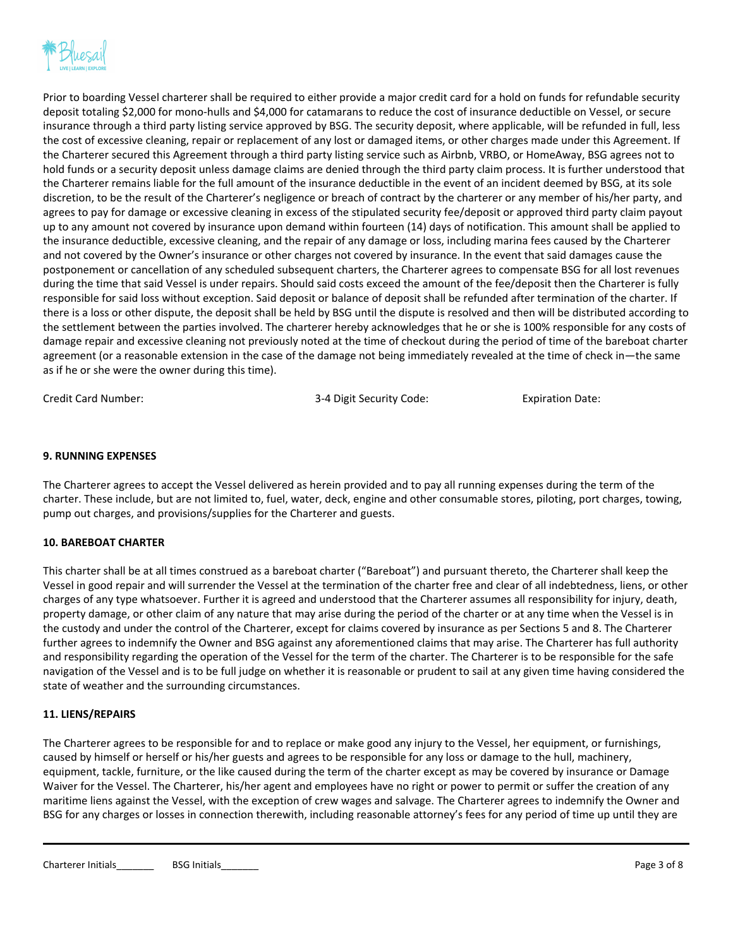

Prior to boarding Vessel charterer shall be required to either provide a major credit card for a hold on funds for refundable security deposit totaling \$2,000 for mono-hulls and \$4,000 for catamarans to reduce the cost of insurance deductible on Vessel, or secure insurance through a third party listing service approved by BSG. The security deposit, where applicable, will be refunded in full, less the cost of excessive cleaning, repair or replacement of any lost or damaged items, or other charges made under this Agreement. If the Charterer secured this Agreement through a third party listing service such as Airbnb, VRBO, or HomeAway, BSG agrees not to hold funds or a security deposit unless damage claims are denied through the third party claim process. It is further understood that the Charterer remains liable for the full amount of the insurance deductible in the event of an incident deemed by BSG, at its sole discretion, to be the result of the Charterer's negligence or breach of contract by the charterer or any member of his/her party, and agrees to pay for damage or excessive cleaning in excess of the stipulated security fee/deposit or approved third party claim payout up to any amount not covered by insurance upon demand within fourteen (14) days of notification. This amount shall be applied to the insurance deductible, excessive cleaning, and the repair of any damage or loss, including marina fees caused by the Charterer and not covered by the Owner's insurance or other charges not covered by insurance. In the event that said damages cause the postponement or cancellation of any scheduled subsequent charters, the Charterer agrees to compensate BSG for all lost revenues during the time that said Vessel is under repairs. Should said costs exceed the amount of the fee/deposit then the Charterer is fully responsible for said loss without exception. Said deposit or balance of deposit shall be refunded after termination of the charter. If there is a loss or other dispute, the deposit shall be held by BSG until the dispute is resolved and then will be distributed according to the settlement between the parties involved. The charterer hereby acknowledges that he or she is 100% responsible for any costs of damage repair and excessive cleaning not previously noted at the time of checkout during the period of time of the bareboat charter agreement (or a reasonable extension in the case of the damage not being immediately revealed at the time of check in—the same as if he or she were the owner during this time).

Credit Card Number: 3-4 Digit Security Code: Expiration Date:

# **9. RUNNING EXPENSES**

The Charterer agrees to accept the Vessel delivered as herein provided and to pay all running expenses during the term of the charter. These include, but are not limited to, fuel, water, deck, engine and other consumable stores, piloting, port charges, towing, pump out charges, and provisions/supplies for the Charterer and guests.

# **10. BAREBOAT CHARTER**

This charter shall be at all times construed as a bareboat charter ("Bareboat") and pursuant thereto, the Charterer shall keep the Vessel in good repair and will surrender the Vessel at the termination of the charter free and clear of all indebtedness, liens, or other charges of any type whatsoever. Further it is agreed and understood that the Charterer assumes all responsibility for injury, death, property damage, or other claim of any nature that may arise during the period of the charter or at any time when the Vessel is in the custody and under the control of the Charterer, except for claims covered by insurance as per Sections 5 and 8. The Charterer further agrees to indemnify the Owner and BSG against any aforementioned claims that may arise. The Charterer has full authority and responsibility regarding the operation of the Vessel for the term of the charter. The Charterer is to be responsible for the safe navigation of the Vessel and is to be full judge on whether it is reasonable or prudent to sail at any given time having considered the state of weather and the surrounding circumstances.

### **11. LIENS/REPAIRS**

The Charterer agrees to be responsible for and to replace or make good any injury to the Vessel, her equipment, or furnishings, caused by himself or herself or his/her guests and agrees to be responsible for any loss or damage to the hull, machinery, equipment, tackle, furniture, or the like caused during the term of the charter except as may be covered by insurance or Damage Waiver for the Vessel. The Charterer, his/her agent and employees have no right or power to permit or suffer the creation of any maritime liens against the Vessel, with the exception of crew wages and salvage. The Charterer agrees to indemnify the Owner and BSG for any charges or losses in connection therewith, including reasonable attorney's fees for any period of time up until they are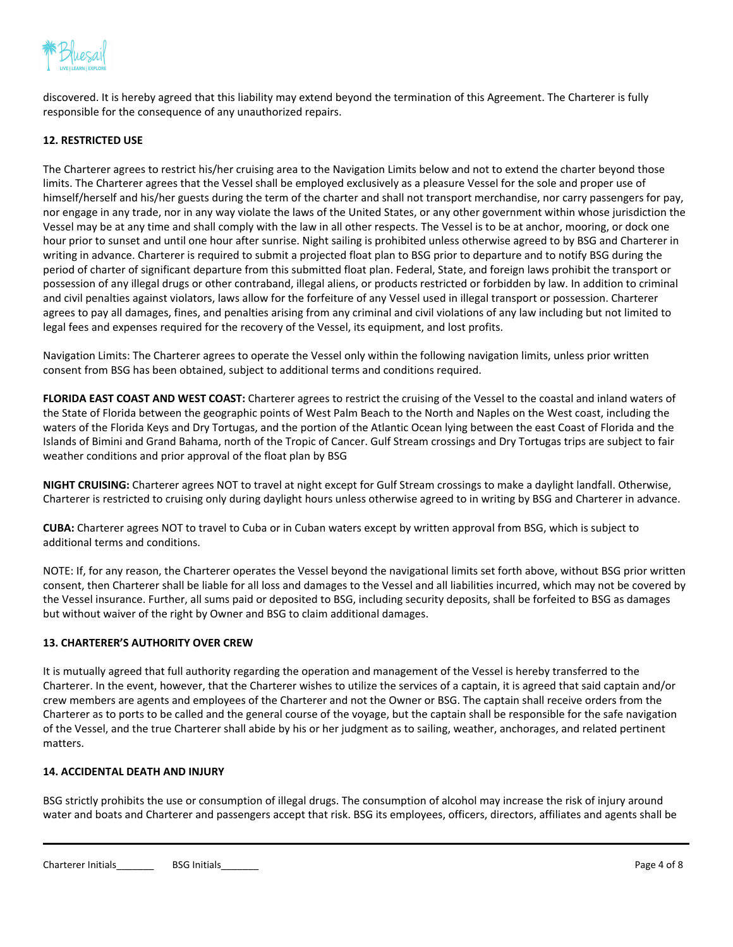

discovered. It is hereby agreed that this liability may extend beyond the termination of this Agreement. The Charterer is fully responsible for the consequence of any unauthorized repairs.

## **12. RESTRICTED USE**

The Charterer agrees to restrict his/her cruising area to the Navigation Limits below and not to extend the charter beyond those limits. The Charterer agrees that the Vessel shall be employed exclusively as a pleasure Vessel for the sole and proper use of himself/herself and his/her guests during the term of the charter and shall not transport merchandise, nor carry passengers for pay, nor engage in any trade, nor in any way violate the laws of the United States, or any other government within whose jurisdiction the Vessel may be at any time and shall comply with the law in all other respects. The Vessel is to be at anchor, mooring, or dock one hour prior to sunset and until one hour after sunrise. Night sailing is prohibited unless otherwise agreed to by BSG and Charterer in writing in advance. Charterer is required to submit a projected float plan to BSG prior to departure and to notify BSG during the period of charter of significant departure from this submitted float plan. Federal, State, and foreign laws prohibit the transport or possession of any illegal drugs or other contraband, illegal aliens, or products restricted or forbidden by law. In addition to criminal and civil penalties against violators, laws allow for the forfeiture of any Vessel used in illegal transport or possession. Charterer agrees to pay all damages, fines, and penalties arising from any criminal and civil violations of any law including but not limited to legal fees and expenses required for the recovery of the Vessel, its equipment, and lost profits.

Navigation Limits: The Charterer agrees to operate the Vessel only within the following navigation limits, unless prior written consent from BSG has been obtained, subject to additional terms and conditions required.

**FLORIDA EAST COAST AND WEST COAST:** Charterer agrees to restrict the cruising of the Vessel to the coastal and inland waters of the State of Florida between the geographic points of West Palm Beach to the North and Naples on the West coast, including the waters of the Florida Keys and Dry Tortugas, and the portion of the Atlantic Ocean lying between the east Coast of Florida and the Islands of Bimini and Grand Bahama, north of the Tropic of Cancer. Gulf Stream crossings and Dry Tortugas trips are subject to fair weather conditions and prior approval of the float plan by BSG

**NIGHT CRUISING:** Charterer agrees NOT to travel at night except for Gulf Stream crossings to make a daylight landfall. Otherwise, Charterer is restricted to cruising only during daylight hours unless otherwise agreed to in writing by BSG and Charterer in advance.

**CUBA:** Charterer agrees NOT to travel to Cuba or in Cuban waters except by written approval from BSG, which is subject to additional terms and conditions.

NOTE: If, for any reason, the Charterer operates the Vessel beyond the navigational limits set forth above, without BSG prior written consent, then Charterer shall be liable for all loss and damages to the Vessel and all liabilities incurred, which may not be covered by the Vessel insurance. Further, all sums paid or deposited to BSG, including security deposits, shall be forfeited to BSG as damages but without waiver of the right by Owner and BSG to claim additional damages.

### **13. CHARTERER'S AUTHORITY OVER CREW**

It is mutually agreed that full authority regarding the operation and management of the Vessel is hereby transferred to the Charterer. In the event, however, that the Charterer wishes to utilize the services of a captain, it is agreed that said captain and/or crew members are agents and employees of the Charterer and not the Owner or BSG. The captain shall receive orders from the Charterer as to ports to be called and the general course of the voyage, but the captain shall be responsible for the safe navigation of the Vessel, and the true Charterer shall abide by his or her judgment as to sailing, weather, anchorages, and related pertinent matters.

## **14. ACCIDENTAL DEATH AND INJURY**

BSG strictly prohibits the use or consumption of illegal drugs. The consumption of alcohol may increase the risk of injury around water and boats and Charterer and passengers accept that risk. BSG its employees, officers, directors, affiliates and agents shall be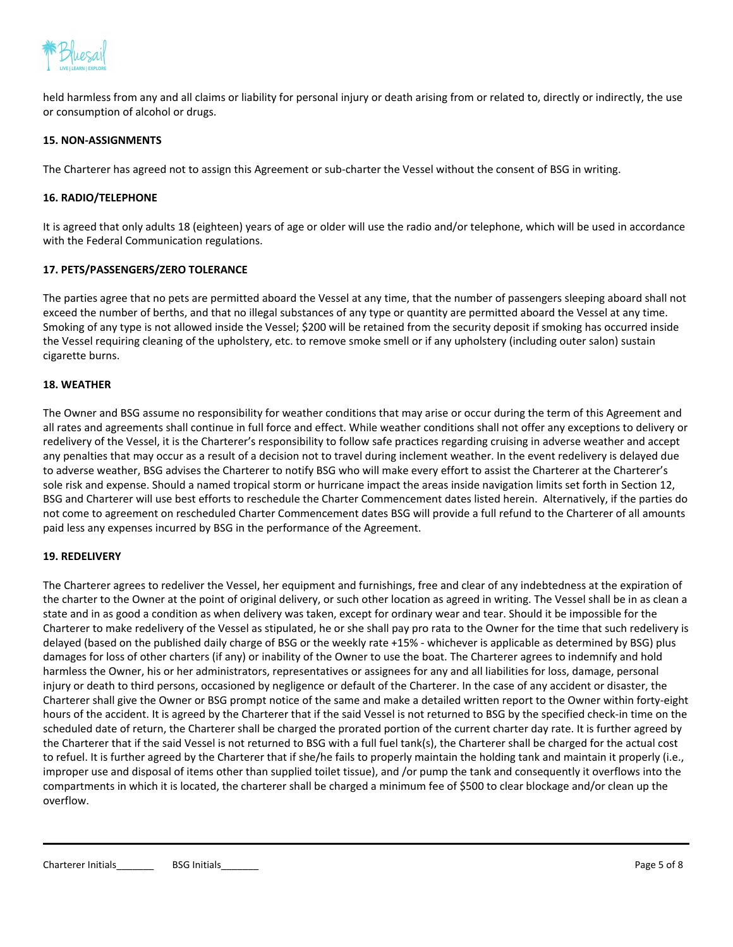

held harmless from any and all claims or liability for personal injury or death arising from or related to, directly or indirectly, the use or consumption of alcohol or drugs.

## **15. NON-ASSIGNMENTS**

The Charterer has agreed not to assign this Agreement or sub-charter the Vessel without the consent of BSG in writing.

## **16. RADIO/TELEPHONE**

It is agreed that only adults 18 (eighteen) years of age or older will use the radio and/or telephone, which will be used in accordance with the Federal Communication regulations.

## **17. PETS/PASSENGERS/ZERO TOLERANCE**

The parties agree that no pets are permitted aboard the Vessel at any time, that the number of passengers sleeping aboard shall not exceed the number of berths, and that no illegal substances of any type or quantity are permitted aboard the Vessel at any time. Smoking of any type is not allowed inside the Vessel; \$200 will be retained from the security deposit if smoking has occurred inside the Vessel requiring cleaning of the upholstery, etc. to remove smoke smell or if any upholstery (including outer salon) sustain cigarette burns.

### **18. WEATHER**

The Owner and BSG assume no responsibility for weather conditions that may arise or occur during the term of this Agreement and all rates and agreements shall continue in full force and effect. While weather conditions shall not offer any exceptions to delivery or redelivery of the Vessel, it is the Charterer's responsibility to follow safe practices regarding cruising in adverse weather and accept any penalties that may occur as a result of a decision not to travel during inclement weather. In the event redelivery is delayed due to adverse weather, BSG advises the Charterer to notify BSG who will make every effort to assist the Charterer at the Charterer's sole risk and expense. Should a named tropical storm or hurricane impact the areas inside navigation limits set forth in Section 12, BSG and Charterer will use best efforts to reschedule the Charter Commencement dates listed herein. Alternatively, if the parties do not come to agreement on rescheduled Charter Commencement dates BSG will provide a full refund to the Charterer of all amounts paid less any expenses incurred by BSG in the performance of the Agreement.

### **19. REDELIVERY**

The Charterer agrees to redeliver the Vessel, her equipment and furnishings, free and clear of any indebtedness at the expiration of the charter to the Owner at the point of original delivery, or such other location as agreed in writing. The Vessel shall be in as clean a state and in as good a condition as when delivery was taken, except for ordinary wear and tear. Should it be impossible for the Charterer to make redelivery of the Vessel as stipulated, he or she shall pay pro rata to the Owner for the time that such redelivery is delayed (based on the published daily charge of BSG or the weekly rate +15% - whichever is applicable as determined by BSG) plus damages for loss of other charters (if any) or inability of the Owner to use the boat. The Charterer agrees to indemnify and hold harmless the Owner, his or her administrators, representatives or assignees for any and all liabilities for loss, damage, personal injury or death to third persons, occasioned by negligence or default of the Charterer. In the case of any accident or disaster, the Charterer shall give the Owner or BSG prompt notice of the same and make a detailed written report to the Owner within forty-eight hours of the accident. It is agreed by the Charterer that if the said Vessel is not returned to BSG by the specified check-in time on the scheduled date of return, the Charterer shall be charged the prorated portion of the current charter day rate. It is further agreed by the Charterer that if the said Vessel is not returned to BSG with a full fuel tank(s), the Charterer shall be charged for the actual cost to refuel. It is further agreed by the Charterer that if she/he fails to properly maintain the holding tank and maintain it properly (i.e., improper use and disposal of items other than supplied toilet tissue), and /or pump the tank and consequently it overflows into the compartments in which it is located, the charterer shall be charged a minimum fee of \$500 to clear blockage and/or clean up the overflow.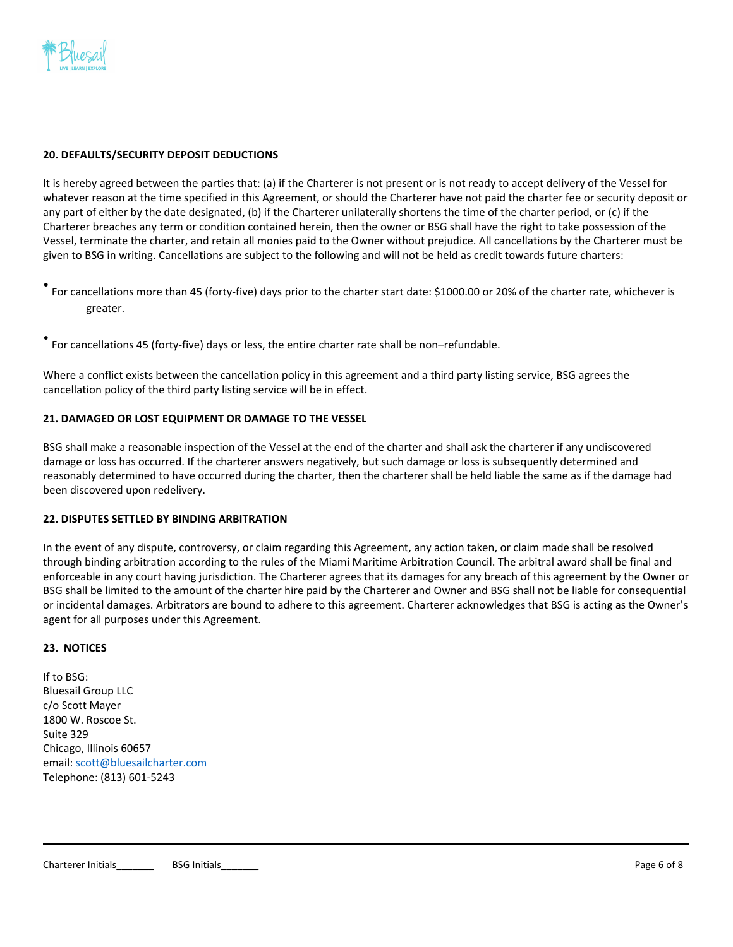

## **20. DEFAULTS/SECURITY DEPOSIT DEDUCTIONS**

It is hereby agreed between the parties that: (a) if the Charterer is not present or is not ready to accept delivery of the Vessel for whatever reason at the time specified in this Agreement, or should the Charterer have not paid the charter fee or security deposit or any part of either by the date designated, (b) if the Charterer unilaterally shortens the time of the charter period, or (c) if the Charterer breaches any term or condition contained herein, then the owner or BSG shall have the right to take possession of the Vessel, terminate the charter, and retain all monies paid to the Owner without prejudice. All cancellations by the Charterer must be given to BSG in writing. Cancellations are subject to the following and will not be held as credit towards future charters:

• For cancellations more than 45 (forty-five) days prior to the charter start date: \$1000.00 or 20% of the charter rate, whichever is greater.

• For cancellations 45 (forty-five) days or less, the entire charter rate shall be non–refundable.

Where a conflict exists between the cancellation policy in this agreement and a third party listing service, BSG agrees the cancellation policy of the third party listing service will be in effect.

## **21. DAMAGED OR LOST EQUIPMENT OR DAMAGE TO THE VESSEL**

BSG shall make a reasonable inspection of the Vessel at the end of the charter and shall ask the charterer if any undiscovered damage or loss has occurred. If the charterer answers negatively, but such damage or loss is subsequently determined and reasonably determined to have occurred during the charter, then the charterer shall be held liable the same as if the damage had been discovered upon redelivery.

# **22. DISPUTES SETTLED BY BINDING ARBITRATION**

In the event of any dispute, controversy, or claim regarding this Agreement, any action taken, or claim made shall be resolved through binding arbitration according to the rules of the Miami Maritime Arbitration Council. The arbitral award shall be final and enforceable in any court having jurisdiction. The Charterer agrees that its damages for any breach of this agreement by the Owner or BSG shall be limited to the amount of the charter hire paid by the Charterer and Owner and BSG shall not be liable for consequential or incidental damages. Arbitrators are bound to adhere to this agreement. Charterer acknowledges that BSG is acting as the Owner's agent for all purposes under this Agreement.

#### **23. NOTICES**

If to BSG: Bluesail Group LLC c/o Scott Mayer 1800 W. Roscoe St. Suite 329 Chicago, Illinois 60657 email: [scott@bluesailcharter.com](mailto:scott@bluesailcharter.com) Telephone: (813) 601-5243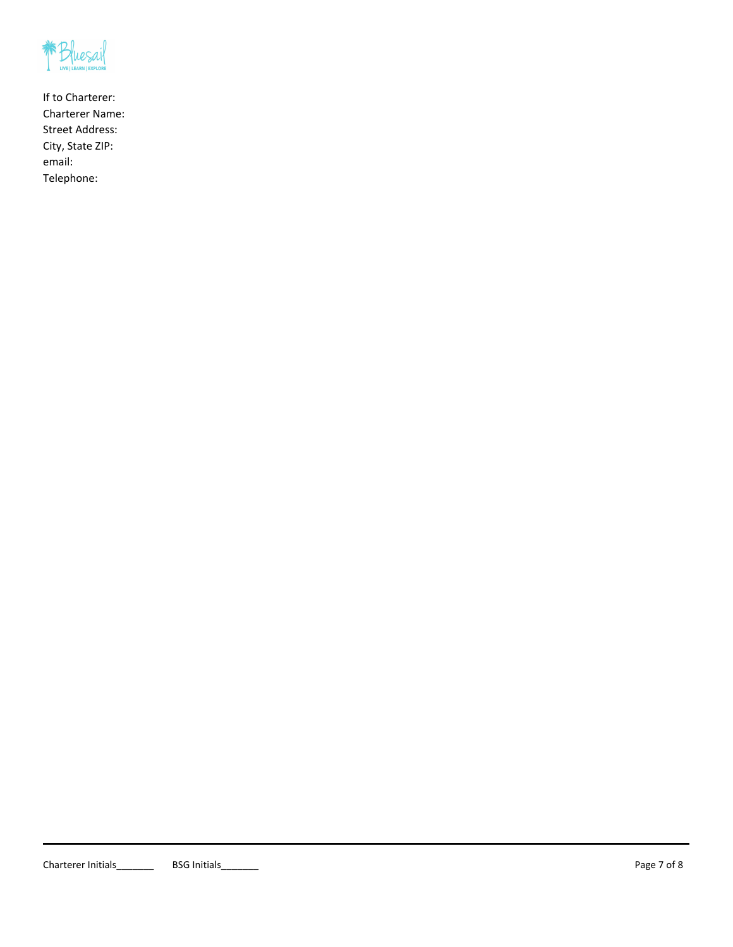

If to Charterer: Charterer Name: Street Address: City, State ZIP: email: Telephone: